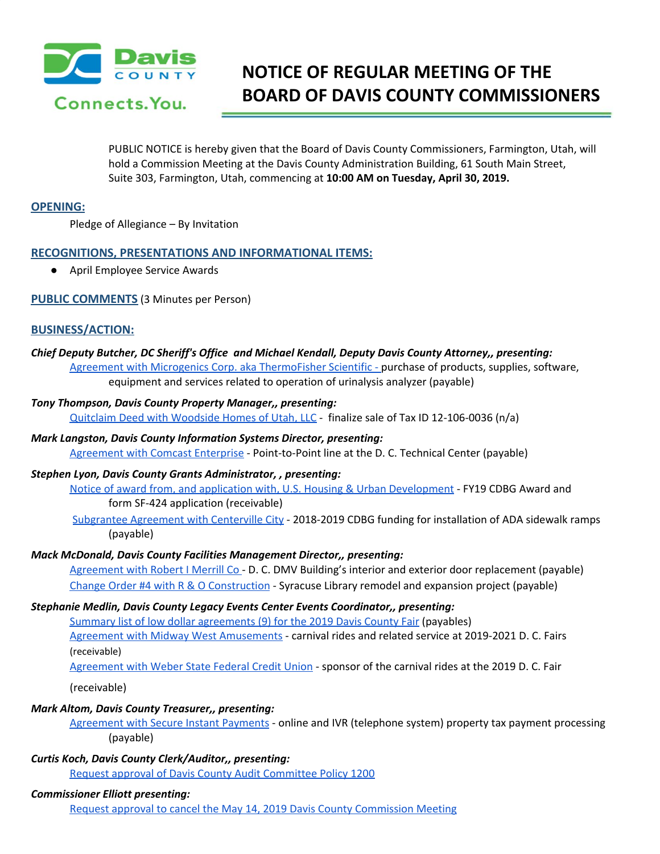

# **NOTICE OF REGULAR MEETING OF THE BOARD OF DAVIS COUNTY COMMISSIONERS**

PUBLIC NOTICE is hereby given that the Board of Davis County Commissioners, Farmington, Utah, will hold a Commission Meeting at the Davis County Administration Building, 61 South Main Street, Suite 303, Farmington, Utah, commencing at **10:00 AM on Tuesday, April 30, 2019.**

## **OPENING:**

Pledge of Allegiance – By Invitation

## **RECOGNITIONS, PRESENTATIONS AND INFORMATIONAL ITEMS:**

● April Employee Service Awards

## **PUBLIC COMMENTS** (3 Minutes per Person)

## **BUSINESS/ACTION:**

*Chief Deputy Butcher, DC Sheriff's Office and Michael Kendall, Deputy Davis County Attorney,, presenting:* Agreement with Microgenics Corp. aka [ThermoFisher](https://drive.google.com/a/co.davis.ut.us/file/d/1H-scoW4Ct1uWuOWOQs_3fkxFjBolJtc9/view?usp=drivesdk) Scientific - purchase of products, supplies, software, equipment and services related to operation of urinalysis analyzer (payable)

### *Tony Thompson, Davis County Property Manager,, presenting:*

Quitclaim Deed with [Woodside](https://drive.google.com/a/co.davis.ut.us/file/d/1K9gocArCP3kOXysj4LXoyuzcxPPp0N8E/view?usp=drivesdk) Homes of Utah, LLC - finalize sale of Tax ID 12-106-0036 (n/a)

*Mark Langston, Davis County Information Systems Director, presenting:* [Agreement](https://drive.google.com/a/co.davis.ut.us/file/d/1xuMDiu0Em8iAzIBBFRFUFJN7DzPVSbZd/view?usp=drivesdk) with Comcast Enterprise - Point-to-Point line at the D. C. Technical Center (payable)

## *Stephen Lyon, Davis County Grants Administrator, , presenting:*

Notice of award from, and application with, U.S. Housing & Urban [Development](https://drive.google.com/a/co.davis.ut.us/file/d/1aemfxNjQgvGQNwjI6CGJ2EtOVEyN5dbr/view?usp=drivesdk) - FY19 CDBG Award and form SF-424 application (receivable)

[Subgrantee](https://drive.google.com/a/co.davis.ut.us/file/d/1zHNhCEh4mxumb9QYt4XeA8ZxXJLm9rS2/view?usp=drivesdk) Agreement with Centerville City - 2018-2019 CDBG funding for installation of ADA sidewalk ramps (payable)

## *Mack McDonald, Davis County Facilities Management Director,, presenting:*

[Agreement](https://drive.google.com/a/co.davis.ut.us/file/d/1cIuISb7FocmF4IIaRt-u3eWXg4zU_ozC/view?usp=drivesdk) with Robert I Merrill Co - D. C. DMV Building's interior and exterior door replacement (payable) Change Order #4 with R & O [Construction](https://drive.google.com/a/co.davis.ut.us/file/d/12EGqwdR000SOqCQbcUB9qztILB0k0s24/view?usp=drivesdk) - Syracuse Library remodel and expansion project (payable)

# *Stephanie Medlin, Davis County Legacy Events Center Events Coordinator,, presenting:*

Summary list of low dollar [agreements](https://drive.google.com/a/co.davis.ut.us/file/d/1k7M5RzfPHMW63tnozJNN9EwY0qIrfKnH/view?usp=drivesdk) (9) for the 2019 Davis County Fair (payables) Agreement with Midway West [Amusements](https://drive.google.com/a/co.davis.ut.us/file/d/11FMSsG94YJJCgRF66oa__T1KlOvmbbW5/view?usp=drivesdk) - carnival rides and related service at 2019-2021 D. C. Fairs (receivable)

[Agreement](https://drive.google.com/a/co.davis.ut.us/file/d/1KJ2DMkDKPIFdREbO8nfpm4uCH9S4L-3f/view?usp=drivesdk) with Weber State Federal Credit Union - sponsor of the carnival rides at the 2019 D. C. Fair

(receivable)

# *Mark Altom, Davis County Treasurer,, presenting:*

[Agreement](https://drive.google.com/a/co.davis.ut.us/file/d/1aFpG2qmQN894RGyMFDIMZNjkn0FldolK/view?usp=drivesdk) with Secure Instant Payments - online and IVR (telephone system) property tax payment processing (payable)

# *Curtis Koch, Davis County Clerk/Auditor,, presenting:*

Request approval of Davis County Audit [Committee](https://drive.google.com/a/co.davis.ut.us/file/d/17LF2iCRmEBazg9Z5VlEL7Be5vIuCFiiB/view?usp=drivesdk) Policy 1200

# *Commissioner Elliott presenting:*

Request approval to cancel the May 14, 2019 Davis County [Commission](https://drive.google.com/a/co.davis.ut.us/file/d/1b6U2ImU1cvRb6xpS4PNqNnxvHMvEyOvA/view?usp=drivesdk) Meeting